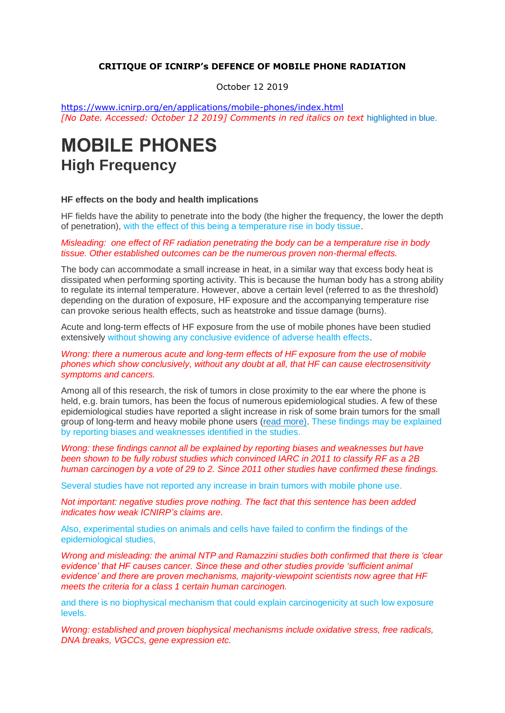#### **CRITIQUE OF ICNIRP's DEFENCE OF MOBILE PHONE RADIATION**

October 12 2019

<https://www.icnirp.org/en/applications/mobile-phones/index.html> *[No Date. Accessed: October 12 2019] Comments in red italics on text* highlighted in blue.

# **MOBILE PHONES High Frequency**

#### **HF effects on the body and health implications**

HF fields have the ability to penetrate into the body (the higher the frequency, the lower the depth of penetration), with the effect of this being a temperature rise in body tissue.

#### *Misleading: one effect of RF radiation penetrating the body can be a temperature rise in body tissue. Other established outcomes can be the numerous proven non-thermal effects.*

The body can accommodate a small increase in heat, in a similar way that excess body heat is dissipated when performing sporting activity. This is because the human body has a strong ability to regulate its internal temperature. However, above a certain level (referred to as the threshold) depending on the duration of exposure, HF exposure and the accompanying temperature rise can provoke serious health effects, such as heatstroke and tissue damage (burns).

Acute and long-term effects of HF exposure from the use of mobile phones have been studied extensively without showing any conclusive evidence of adverse health effects.

#### *Wrong: there a numerous acute and long-term effects of HF exposure from the use of mobile phones which show conclusively, without any doubt at all, that HF can cause electrosensitivity symptoms and cancers.*

Among all of this research, the risk of tumors in close proximity to the ear where the phone is held, e.g. brain tumors, has been the focus of numerous epidemiological studies. A few of these epidemiological studies have reported a slight increase in risk of some brain tumors for the small group of long-term and heavy mobile phone users [\(read more\).](https://www.icnirp.org/cms/upload/publications/ICNIRPSCIreview2011.pdf) These findings may be explained by reporting biases and weaknesses identified in the studies.

*Wrong: these findings cannot all be explained by reporting biases and weaknesses but have been shown to be fully robust studies which convinced IARC in 2011 to classify RF as a 2B human carcinogen by a vote of 29 to 2. Since 2011 other studies have confirmed these findings.*

Several studies have not reported any increase in brain tumors with mobile phone use.

*Not important: negative studies prove nothing. The fact that this sentence has been added indicates how weak ICNIRP's claims are.*

Also, experimental studies on animals and cells have failed to confirm the findings of the epidemiological studies,

*Wrong and misleading: the animal NTP and Ramazzini studies both confirmed that there is 'clear evidence' that HF causes cancer. Since these and other studies provide 'sufficient animal evidence' and there are proven mechanisms, majority-viewpoint scientists now agree that HF meets the criteria for a class 1 certain human carcinogen.*

and there is no biophysical mechanism that could explain carcinogenicity at such low exposure levels.

*Wrong: established and proven biophysical mechanisms include oxidative stress, free radicals, DNA breaks, VGCCs, gene expression etc.*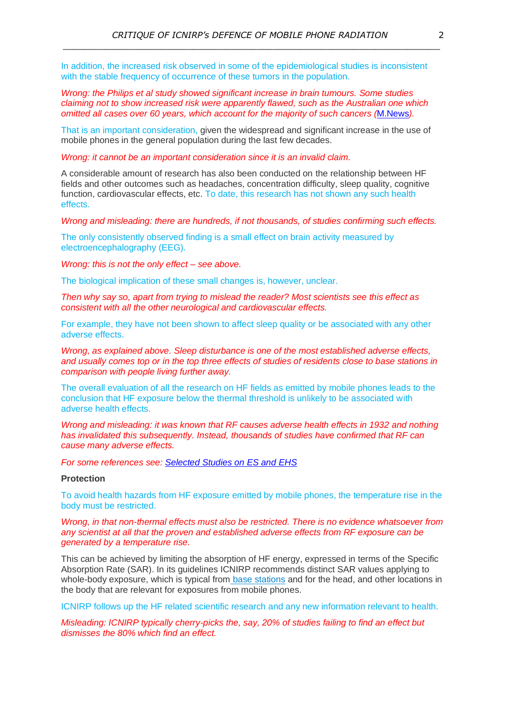In addition, the increased risk observed in some of the epidemiological studies is inconsistent with the stable frequency of occurrence of these tumors in the population.

*Wrong: the Philips et al study showed significant increase in brain tumours. Some studies claiming not to show increased risk were apparently flawed, such as the Australian one which omitted all cases over 60 years, which account for the majority of such cancers (*[M.News](https://microwavenews.com/news-center/arpansa-bt-rates)*).*

That is an important consideration, given the widespread and significant increase in the use of mobile phones in the general population during the last few decades.

*Wrong: it cannot be an important consideration since it is an invalid claim.*

A considerable amount of research has also been conducted on the relationship between HF fields and other outcomes such as headaches, concentration difficulty, sleep quality, cognitive function, cardiovascular effects, etc. To date, this research has not shown any such health effects.

*Wrong and misleading: there are hundreds, if not thousands, of studies confirming such effects.* 

The only consistently observed finding is a small effect on brain activity measured by electroencephalography (EEG).

*Wrong: this is not the only effect – see above.*

The biological implication of these small changes is, however, unclear.

*Then why say so, apart from trying to mislead the reader? Most scientists see this effect as consistent with all the other neurological and cardiovascular effects.*

For example, they have not been shown to affect sleep quality or be associated with any other adverse effects.

*Wrong, as explained above. Sleep disturbance is one of the most established adverse effects, and usually comes top or in the top three effects of studies of residents close to base stations in comparison with people living further away.*

The overall evaluation of all the research on HF fields as emitted by mobile phones leads to the conclusion that HF exposure below the thermal threshold is unlikely to be associated with adverse health effects.

*Wrong and misleading: it was known that RF causes adverse health effects in 1932 and nothing has invalidated this subsequently. Instead, thousands of studies have confirmed that RF can cause many adverse effects.*

*For some references see: Selected [Studies on ES and EHS](http://www.es-uk.info/wp-content/uploads/2018/05/Selected%20ES%20and%20EHS%20studies.pdf)*

### **Protection**

To avoid health hazards from HF exposure emitted by mobile phones, the temperature rise in the body must be restricted.

*Wrong, in that non-thermal effects must also be restricted. There is no evidence whatsoever from any scientist at all that the proven and established adverse effects from RF exposure can be generated by a temperature rise.*

This can be achieved by limiting the absorption of HF energy, expressed in terms of the Specific Absorption Rate (SAR). In its guidelines ICNIRP recommends distinct SAR values applying to whole-body exposure, which is typical from [base stations](https://www.icnirp.org/en/applications/base-stations/index.html) and for the head, and other locations in the body that are relevant for exposures from mobile phones.

ICNIRP follows up the HF related scientific research and any new information relevant to health.

*Misleading: ICNIRP typically cherry-picks the, say, 20% of studies failing to find an effect but dismisses the 80% which find an effect.*